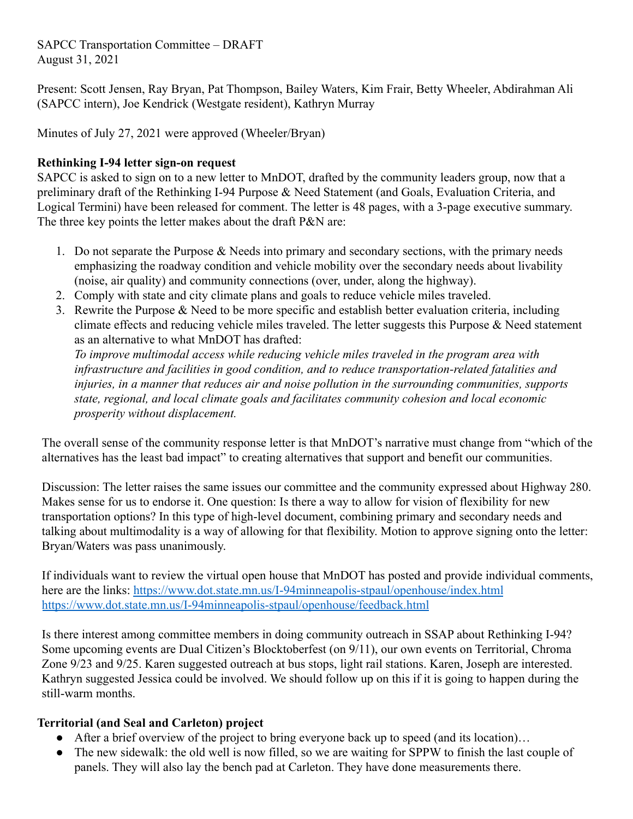## SAPCC Transportation Committee – DRAFT August 31, 2021

Present: Scott Jensen, Ray Bryan, Pat Thompson, Bailey Waters, Kim Frair, Betty Wheeler, Abdirahman Ali (SAPCC intern), Joe Kendrick (Westgate resident), Kathryn Murray

Minutes of July 27, 2021 were approved (Wheeler/Bryan)

## **Rethinking I-94 letter sign-on request**

SAPCC is asked to sign on to a new letter to MnDOT, drafted by the community leaders group, now that a preliminary draft of the Rethinking I-94 Purpose & Need Statement (and Goals, Evaluation Criteria, and Logical Termini) have been released for comment. The letter is 48 pages, with a 3-page executive summary. The three key points the letter makes about the draft P&N are:

- 1. Do not separate the Purpose  $\&$  Needs into primary and secondary sections, with the primary needs emphasizing the roadway condition and vehicle mobility over the secondary needs about livability (noise, air quality) and community connections (over, under, along the highway).
- 2. Comply with state and city climate plans and goals to reduce vehicle miles traveled.
- 3. Rewrite the Purpose & Need to be more specific and establish better evaluation criteria, including climate effects and reducing vehicle miles traveled. The letter suggests this Purpose  $\&$  Need statement as an alternative to what MnDOT has drafted:

*To improve multimodal access while reducing vehicle miles traveled in the program area with infrastructure and facilities in good condition, and to reduce transportation-related fatalities and injuries, in a manner that reduces air and noise pollution in the surrounding communities, supports state, regional, and local climate goals and facilitates community cohesion and local economic prosperity without displacement.*

The overall sense of the community response letter is that MnDOT's narrative must change from "which of the alternatives has the least bad impact" to creating alternatives that support and benefit our communities.

Discussion: The letter raises the same issues our committee and the community expressed about Highway 280. Makes sense for us to endorse it. One question: Is there a way to allow for vision of flexibility for new transportation options? In this type of high-level document, combining primary and secondary needs and talking about multimodality is a way of allowing for that flexibility. Motion to approve signing onto the letter: Bryan/Waters was pass unanimously.

If individuals want to review the virtual open house that MnDOT has posted and provide individual comments, here are the links: <https://www.dot.state.mn.us/I-94minneapolis-stpaul/openhouse/index.html> <https://www.dot.state.mn.us/I-94minneapolis-stpaul/openhouse/feedback.html>

Is there interest among committee members in doing community outreach in SSAP about Rethinking I-94? Some upcoming events are Dual Citizen's Blocktoberfest (on 9/11), our own events on Territorial, Chroma Zone 9/23 and 9/25. Karen suggested outreach at bus stops, light rail stations. Karen, Joseph are interested. Kathryn suggested Jessica could be involved. We should follow up on this if it is going to happen during the still-warm months.

## **Territorial (and Seal and Carleton) project**

- After a brief overview of the project to bring everyone back up to speed (and its location)...
- The new sidewalk: the old well is now filled, so we are waiting for SPPW to finish the last couple of panels. They will also lay the bench pad at Carleton. They have done measurements there.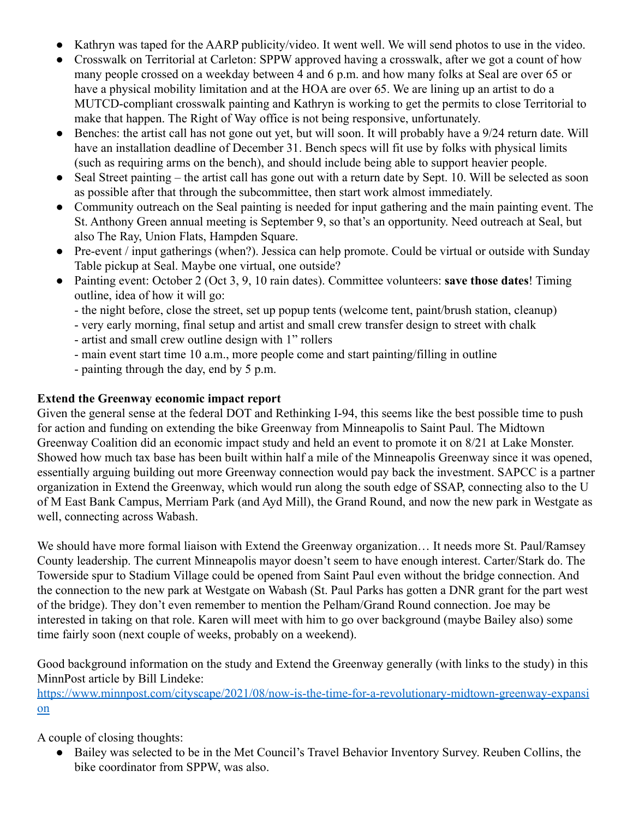- Kathryn was taped for the AARP publicity/video. It went well. We will send photos to use in the video.
- Crosswalk on Territorial at Carleton: SPPW approved having a crosswalk, after we got a count of how many people crossed on a weekday between 4 and 6 p.m. and how many folks at Seal are over 65 or have a physical mobility limitation and at the HOA are over 65. We are lining up an artist to do a MUTCD-compliant crosswalk painting and Kathryn is working to get the permits to close Territorial to make that happen. The Right of Way office is not being responsive, unfortunately.
- Benches: the artist call has not gone out yet, but will soon. It will probably have a 9/24 return date. Will have an installation deadline of December 31. Bench specs will fit use by folks with physical limits (such as requiring arms on the bench), and should include being able to support heavier people.
- Seal Street painting the artist call has gone out with a return date by Sept. 10. Will be selected as soon as possible after that through the subcommittee, then start work almost immediately.
- Community outreach on the Seal painting is needed for input gathering and the main painting event. The St. Anthony Green annual meeting is September 9, so that's an opportunity. Need outreach at Seal, but also The Ray, Union Flats, Hampden Square.
- Pre-event / input gatherings (when?). Jessica can help promote. Could be virtual or outside with Sunday Table pickup at Seal. Maybe one virtual, one outside?
- Painting event: October 2 (Oct 3, 9, 10 rain dates). Committee volunteers: **save those dates**! Timing outline, idea of how it will go:
	- the night before, close the street, set up popup tents (welcome tent, paint/brush station, cleanup)
	- very early morning, final setup and artist and small crew transfer design to street with chalk
	- artist and small crew outline design with 1" rollers
	- main event start time 10 a.m., more people come and start painting/filling in outline
	- painting through the day, end by 5 p.m.

## **Extend the Greenway economic impact report**

Given the general sense at the federal DOT and Rethinking I-94, this seems like the best possible time to push for action and funding on extending the bike Greenway from Minneapolis to Saint Paul. The Midtown Greenway Coalition did an economic impact study and held an event to promote it on 8/21 at Lake Monster. Showed how much tax base has been built within half a mile of the Minneapolis Greenway since it was opened, essentially arguing building out more Greenway connection would pay back the investment. SAPCC is a partner organization in Extend the Greenway, which would run along the south edge of SSAP, connecting also to the U of M East Bank Campus, Merriam Park (and Ayd Mill), the Grand Round, and now the new park in Westgate as well, connecting across Wabash.

We should have more formal liaison with Extend the Greenway organization… It needs more St. Paul/Ramsey County leadership. The current Minneapolis mayor doesn't seem to have enough interest. Carter/Stark do. The Towerside spur to Stadium Village could be opened from Saint Paul even without the bridge connection. And the connection to the new park at Westgate on Wabash (St. Paul Parks has gotten a DNR grant for the part west of the bridge). They don't even remember to mention the Pelham/Grand Round connection. Joe may be interested in taking on that role. Karen will meet with him to go over background (maybe Bailey also) some time fairly soon (next couple of weeks, probably on a weekend).

Good background information on the study and Extend the Greenway generally (with links to the study) in this MinnPost article by Bill Lindeke:

[https://www.minnpost.com/cityscape/2021/08/now-is-the-time-for-a-revolutionary-midtown-greenway-expansi](https://www.minnpost.com/cityscape/2021/08/now-is-the-time-for-a-revolutionary-midtown-greenway-expansion) [on](https://www.minnpost.com/cityscape/2021/08/now-is-the-time-for-a-revolutionary-midtown-greenway-expansion)

A couple of closing thoughts:

Bailey was selected to be in the Met Council's Travel Behavior Inventory Survey. Reuben Collins, the bike coordinator from SPPW, was also.